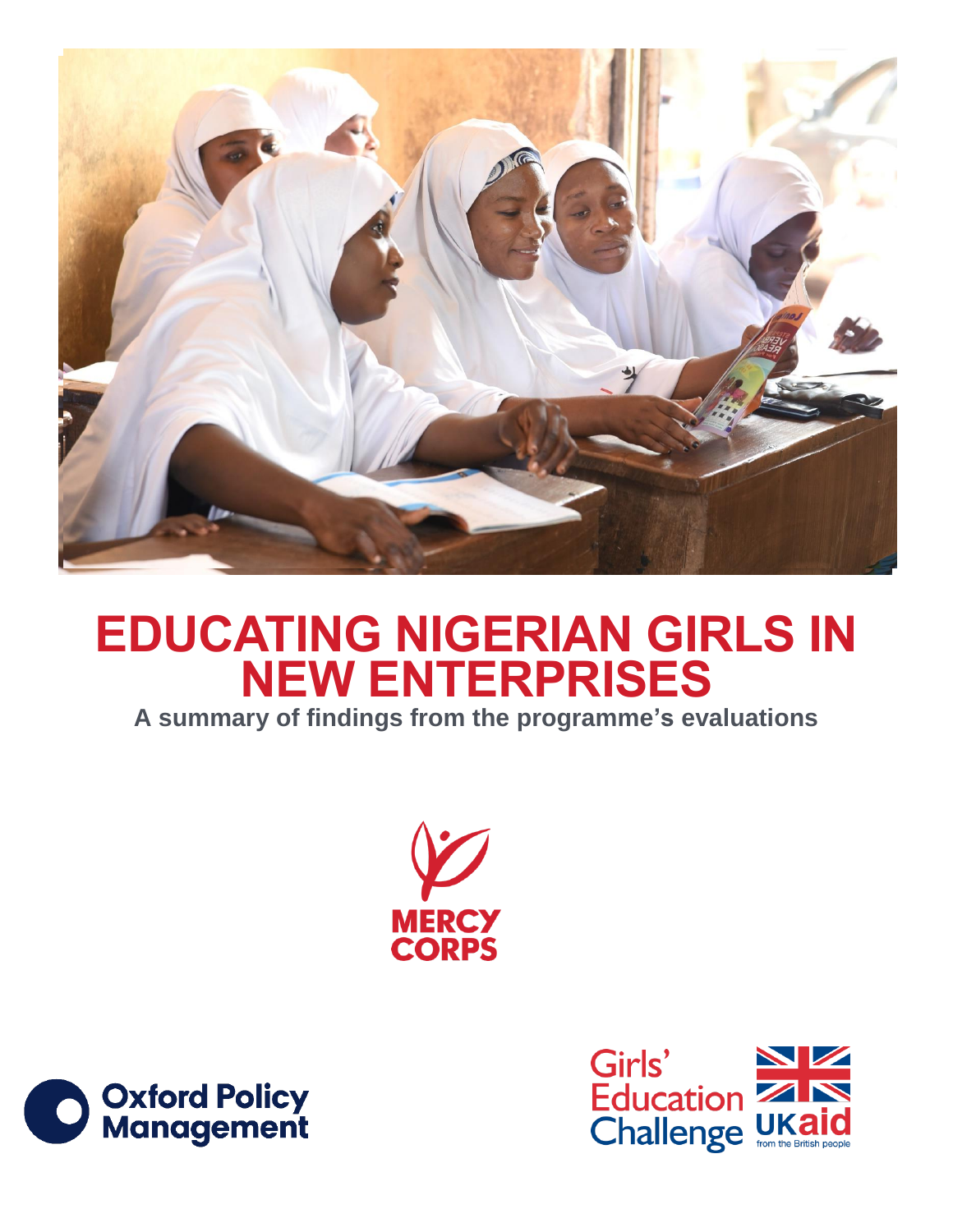

# **EDUCATING NIGERIAN GIRLS IN NEW ENTERPRISES**

**A summary of findings from the programme's evaluations**





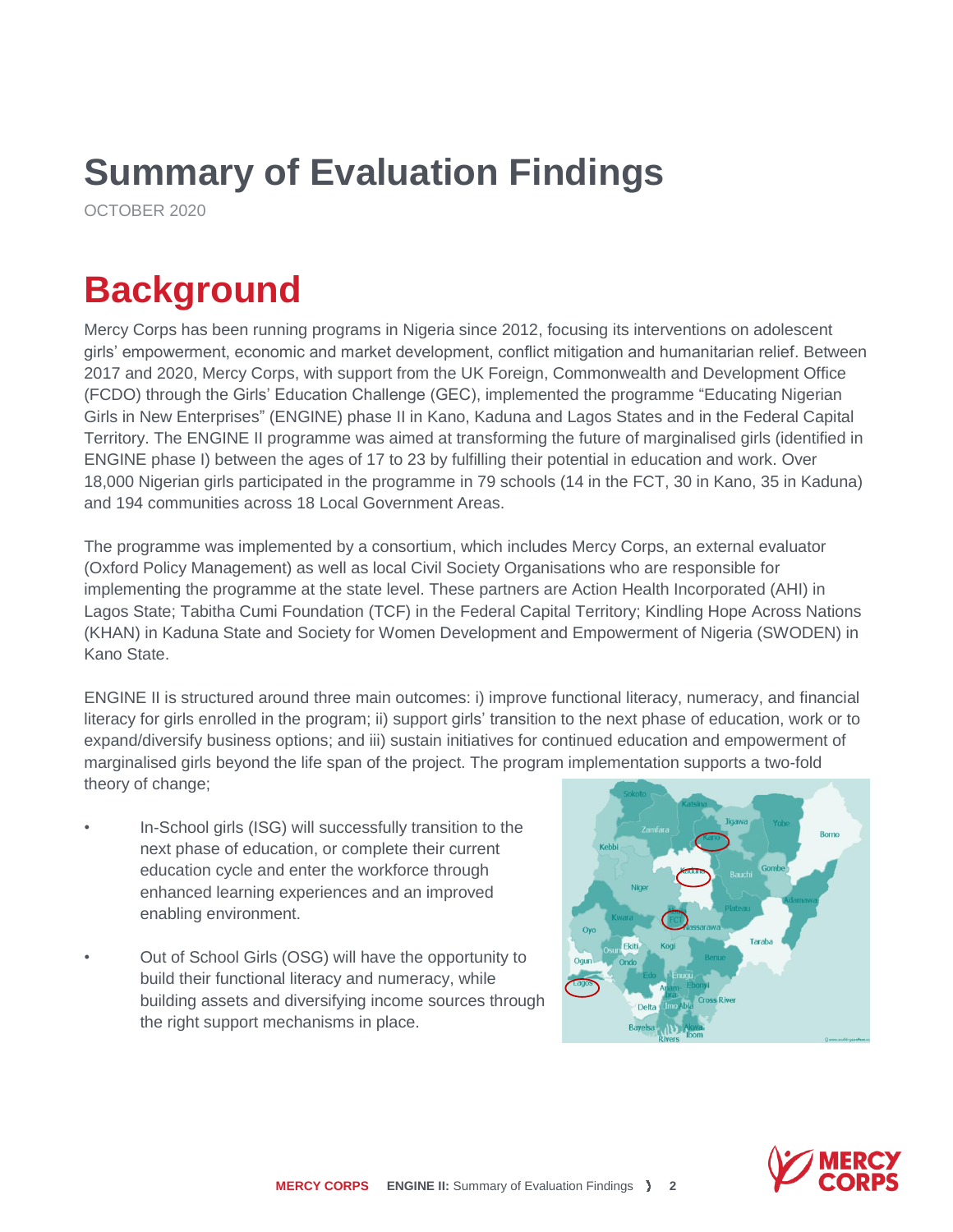## **Summary of Evaluation Findings**

OCTOBER 2020

## **Background**

Mercy Corps has been running programs in Nigeria since 2012, focusing its interventions on adolescent girls' empowerment, economic and market development, conflict mitigation and humanitarian relief. Between 2017 and 2020, Mercy Corps, with support from the U[K Foreign, Commonwealth and](https://www.gov.uk/government/organisations/foreign-commonwealth-development-office) Development Office [\(FCDO\) t](https://www.gov.uk/government/organisations/foreign-commonwealth-development-office)hrough the Girls' Education Challenge (GEC), implemented the programme "Educating Nigerian Girls in New Enterprises" (ENGINE) phase II in Kano, Kaduna and Lagos States and in the Federal Capital Territory. The ENGINE II programme was aimed at transforming the future of marginalised girls (identified in ENGINE phase I) between the ages of 17 to 23 by fulfilling their potential in education and work. Over 18,000 Nigerian girls participated in the programme in 79 schools (14 in the FCT, 30 in Kano, 35 in Kaduna) and 194 communities across 18 Local Government Areas.

The programme was implemented by a consortium, which includes Mercy Corps, an external evaluator (Oxford Policy Management) as well as local Civil Society Organisations who are responsible for implementing the programme at the state level. These partners are Action Health Incorporated (AHI) in Lagos State; Tabitha Cumi Foundation (TCF) in the Federal Capital Territory; Kindling Hope Across Nations (KHAN) in Kaduna State and Society for Women Development and Empowerment of Nigeria (SWODEN) in Kano State.

ENGINE II is structured around three main outcomes: i) improve functional literacy, numeracy, and financial literacy for girls enrolled in the program; ii) support girls' transition to the next phase of education, work or to expand/diversify business options; and iii) sustain initiatives for continued education and empowerment of marginalised girls beyond the life span of the project. The program implementation supports a two-fold theory of change;

- In-School girls (ISG) will successfully transition to the next phase of education, or complete their current education cycle and enter the workforce through enhanced learning experiences and an improved enabling environment.
- Out of School Girls (OSG) will have the opportunity to build their functional literacy and numeracy, while building assets and diversifying income sources through the right support mechanisms in place.



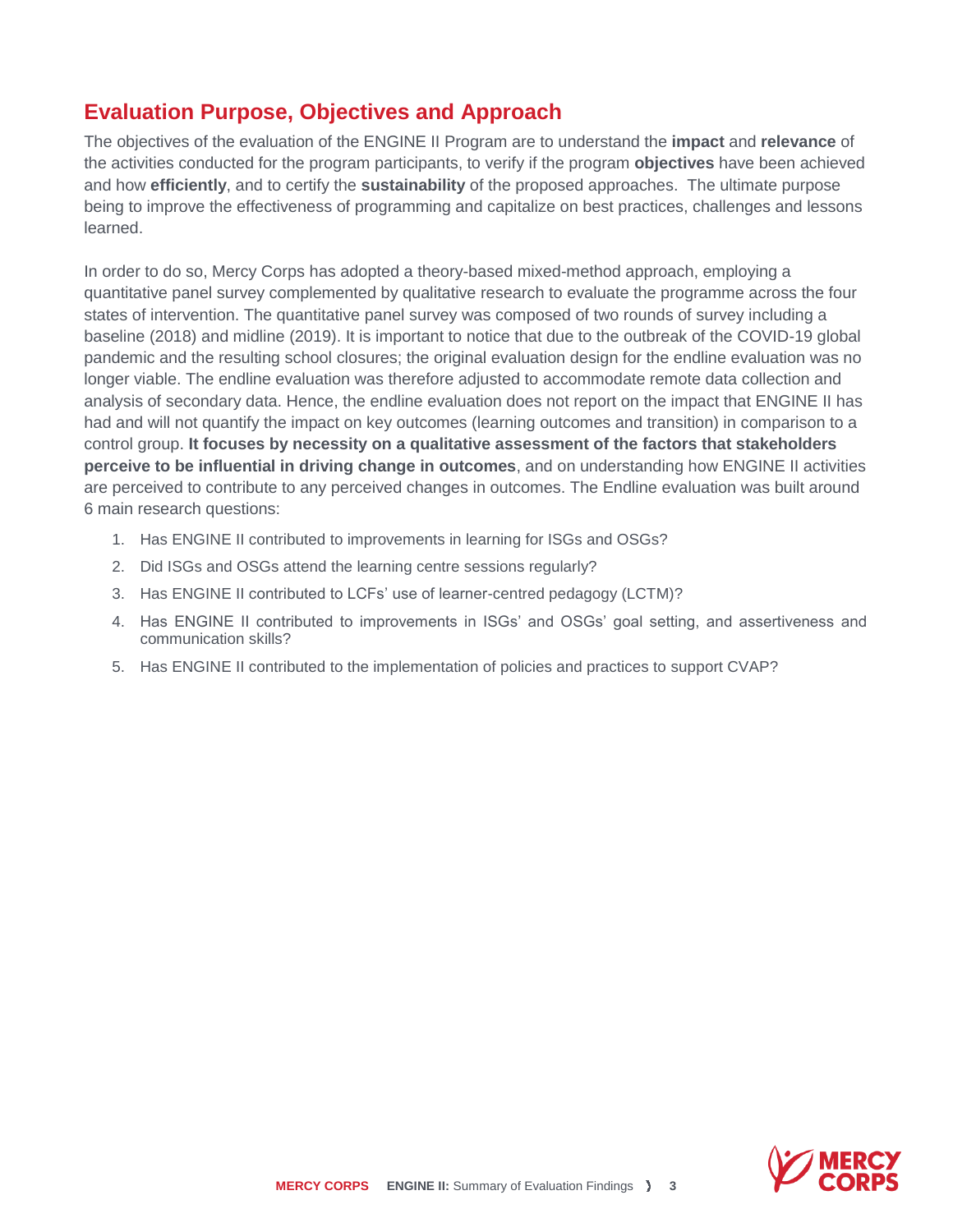#### **Evaluation Purpose, Objectives and Approach**

The objectives of the evaluation of the ENGINE II Program are to understand the **impact** and **relevance** of the activities conducted for the program participants, to verify if the program **objectives** have been achieved and how **efficiently**, and to certify the **sustainability** of the proposed approaches. The ultimate purpose being to improve the effectiveness of programming and capitalize on best practices, challenges and lessons learned.

In order to do so, Mercy Corps has adopted a theory-based mixed-method approach, employing a quantitative panel survey complemented by qualitative research to evaluate the programme across the four states of intervention. The quantitative panel survey was composed of two rounds of survey including a baseline (2018) and midline (2019). It is important to notice that due to the outbreak of the COVID-19 global pandemic and the resulting school closures; the original evaluation design for the endline evaluation was no longer viable. The endline evaluation was therefore adjusted to accommodate remote data collection and analysis of secondary data. Hence, the endline evaluation does not report on the impact that ENGINE II has had and will not quantify the impact on key outcomes (learning outcomes and transition) in comparison to a control group. **It focuses by necessity on a qualitative assessment of the factors that stakeholders perceive to be influential in driving change in outcomes**, and on understanding how ENGINE II activities are perceived to contribute to any perceived changes in outcomes. The Endline evaluation was built around 6 main research questions:

- 1. Has ENGINE II contributed to improvements in learning for ISGs and OSGs?
- 2. Did ISGs and OSGs attend the learning centre sessions regularly?
- 3. Has ENGINE II contributed to LCFs' use of learner-centred pedagogy (LCTM)?
- 4. Has ENGINE II contributed to improvements in ISGs' and OSGs' goal setting, and assertiveness and communication skills?
- 5. Has ENGINE II contributed to the implementation of policies and practices to support CVAP?

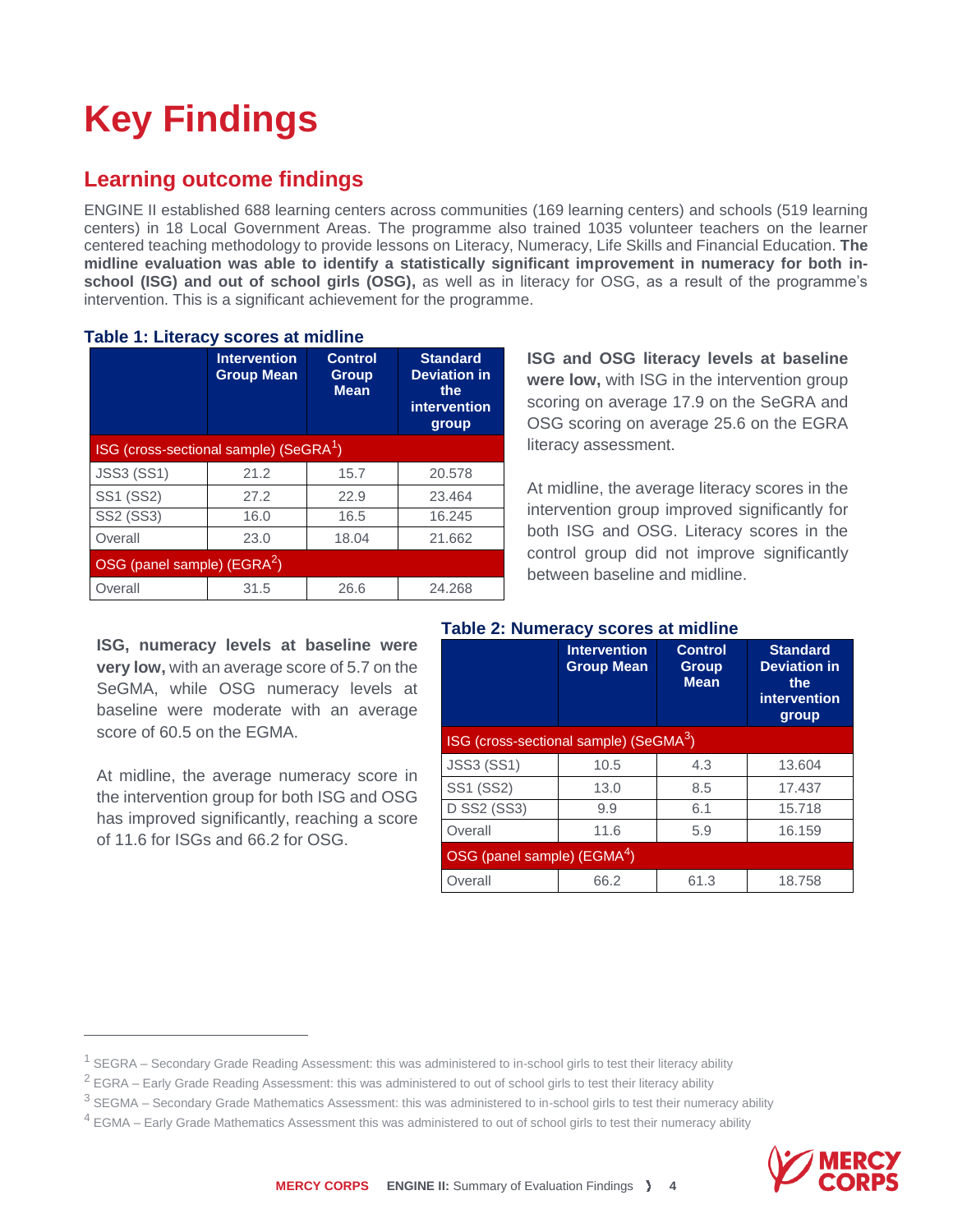# **Key Findings**

### **Learning outcome findings**

**Table 1: Literacy scores at midline**

ENGINE II established 688 learning centers across communities (169 learning centers) and schools (519 learning centers) in 18 Local Government Areas. The programme also trained 1035 volunteer teachers on the learner centered teaching methodology to provide lessons on Literacy, Numeracy, Life Skills and Financial Education. **The midline evaluation was able to identify a statistically significant improvement in numeracy for both inschool (ISG) and out of school girls (OSG),** as well as in literacy for OSG, as a result of the programme's intervention. This is a significant achievement for the programme.

|                                                    | <b>Intervention</b><br><b>Group Mean</b> | <b>Control</b><br><b>Group</b><br><b>Mean</b> | <b>Standard</b><br><b>Deviation in</b><br>the<br>intervention<br>group |  |
|----------------------------------------------------|------------------------------------------|-----------------------------------------------|------------------------------------------------------------------------|--|
| ISG (cross-sectional sample) (SeGRA <sup>1</sup> ) |                                          |                                               |                                                                        |  |
| <b>JSS3 (SS1)</b>                                  | 21.2                                     | 15.7                                          | 20.578                                                                 |  |
| SS1 (SS2)                                          | 27.2                                     | 22.9                                          | 23.464                                                                 |  |
| <b>SS2 (SS3)</b>                                   | 16.0                                     | 16.5                                          | 16.245                                                                 |  |
| Overall                                            | 23.0                                     | 18.04                                         | 21.662                                                                 |  |
| OSG (panel sample) (EGRA <sup>2</sup> )            |                                          |                                               |                                                                        |  |
| Overall                                            | 31.5                                     | 26.6                                          | 24.268                                                                 |  |

**ISG, numeracy levels at baseline were very low,** with an average score of 5.7 on the SeGMA, while OSG numeracy levels at baseline were moderate with an average score of 60.5 on the EGMA

At midline, the average numeracy score in the intervention group for both ISG and OSG has improved significantly, reaching a score of 11.6 for ISGs and 66.2 for OSG.

 $\overline{a}$ 

**ISG and OSG literacy levels at baseline were low,** with ISG in the intervention group scoring on average 17.9 on the SeGRA and OSG scoring on average 25.6 on the EGRA literacy assessment.

At midline, the average literacy scores in the intervention group improved significantly for both ISG and OSG. Literacy scores in the control group did not improve significantly between baseline and midline.

#### **Table 2: Numeracy scores at midline**

|                                                    | <b>Intervention</b><br><b>Group Mean</b> | <b>Control</b><br><b>Group</b><br><b>Mean</b> | <b>Standard</b><br><b>Deviation in</b><br>the<br>intervention<br>group |  |
|----------------------------------------------------|------------------------------------------|-----------------------------------------------|------------------------------------------------------------------------|--|
| ISG (cross-sectional sample) (SeGMA <sup>3</sup> ) |                                          |                                               |                                                                        |  |
| <b>JSS3 (SS1)</b>                                  | 10.5                                     | 4.3                                           | 13.604                                                                 |  |
| SS1 (SS2)                                          | 13.0                                     | 8.5                                           | 17.437                                                                 |  |
| <b>D SS2 (SS3)</b>                                 | 9.9                                      | 6.1                                           | 15.718                                                                 |  |
| Overall                                            | 11.6                                     | 5.9                                           | 16.159                                                                 |  |
| OSG (panel sample) (EGMA <sup>4</sup> )            |                                          |                                               |                                                                        |  |
| Overall                                            | 66.2                                     | 61.3                                          | 18.758                                                                 |  |

 $4$  EGMA – Early Grade Mathematics Assessment this was administered to out of school girls to test their numeracy ability



 $1$  SEGRA – Secondary Grade Reading Assessment: this was administered to in-school girls to test their literacy ability

 $2$  EGRA – Early Grade Reading Assessment: this was administered to out of school girls to test their literacy ability

<sup>&</sup>lt;sup>3</sup> SEGMA – Secondary Grade Mathematics Assessment: this was administered to in-school girls to test their numeracy ability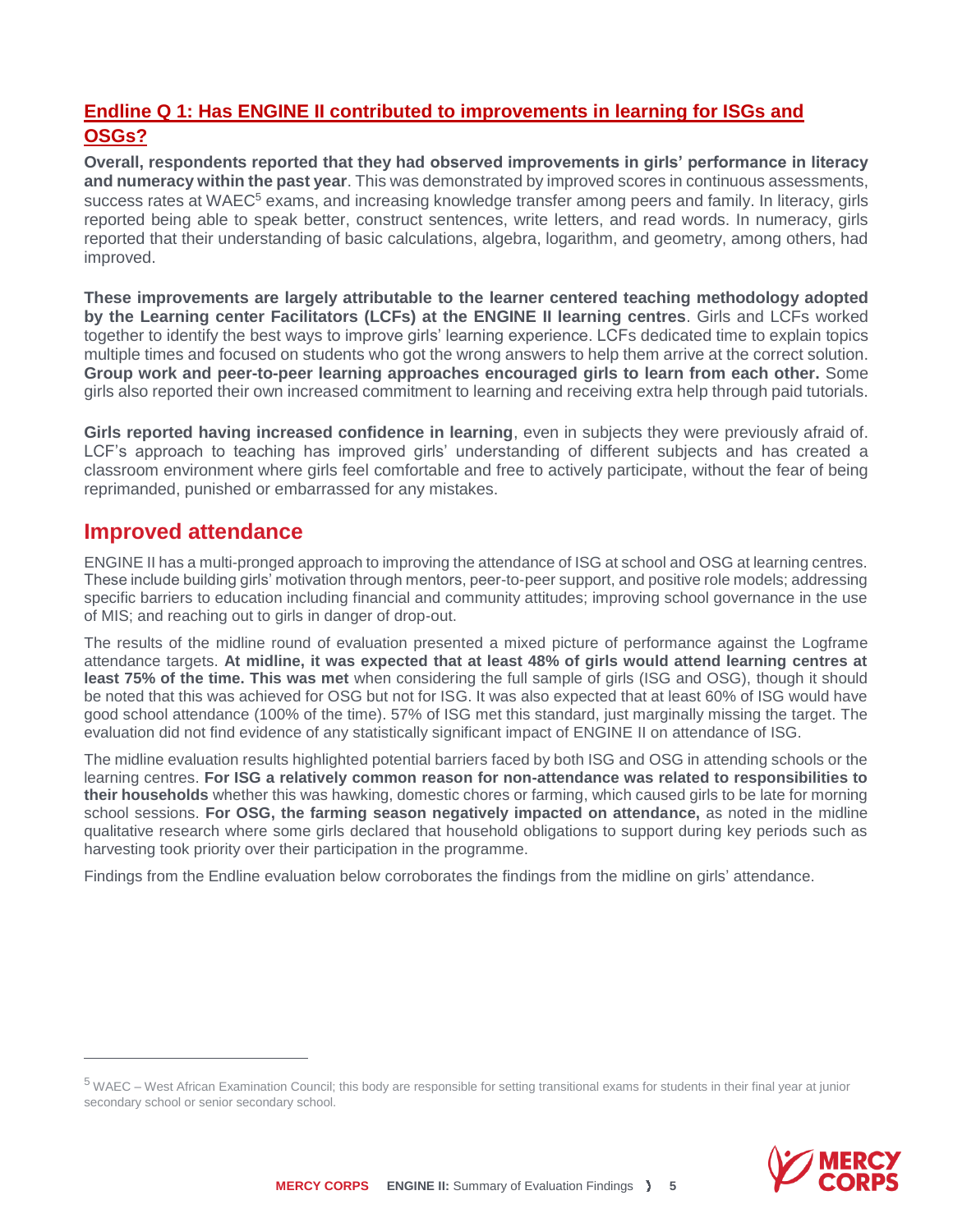#### **Endline Q 1: Has ENGINE II contributed to improvements in learning for ISGs and OSGs?**

**Overall, respondents reported that they had observed improvements in girls' performance in literacy and numeracy within the past year**. This was demonstrated by improved scores in continuous assessments, success rates at WAEC<sup>5</sup> exams, and increasing knowledge transfer among peers and family. In literacy, girls reported being able to speak better, construct sentences, write letters, and read words. In numeracy, girls reported that their understanding of basic calculations, algebra, logarithm, and geometry, among others, had improved.

**These improvements are largely attributable to the learner centered teaching methodology adopted by the Learning center Facilitators (LCFs) at the ENGINE II learning centres**. Girls and LCFs worked together to identify the best ways to improve girls' learning experience. LCFs dedicated time to explain topics multiple times and focused on students who got the wrong answers to help them arrive at the correct solution. **Group work and peer-to-peer learning approaches encouraged girls to learn from each other.** Some girls also reported their own increased commitment to learning and receiving extra help through paid tutorials.

**Girls reported having increased confidence in learning**, even in subjects they were previously afraid of. LCF's approach to teaching has improved girls' understanding of different subjects and has created a classroom environment where girls feel comfortable and free to actively participate, without the fear of being reprimanded, punished or embarrassed for any mistakes.

#### **Improved attendance**

 $\overline{a}$ 

ENGINE II has a multi-pronged approach to improving the attendance of ISG at school and OSG at learning centres. These include building girls' motivation through mentors, peer-to-peer support, and positive role models; addressing specific barriers to education including financial and community attitudes; improving school governance in the use of MIS; and reaching out to girls in danger of drop-out.

The results of the midline round of evaluation presented a mixed picture of performance against the Logframe attendance targets. **At midline, it was expected that at least 48% of girls would attend learning centres at least 75% of the time. This was met** when considering the full sample of girls (ISG and OSG), though it should be noted that this was achieved for OSG but not for ISG. It was also expected that at least 60% of ISG would have good school attendance (100% of the time). 57% of ISG met this standard, just marginally missing the target. The evaluation did not find evidence of any statistically significant impact of ENGINE II on attendance of ISG.

The midline evaluation results highlighted potential barriers faced by both ISG and OSG in attending schools or the learning centres. **For ISG a relatively common reason for non-attendance was related to responsibilities to their households** whether this was hawking, domestic chores or farming, which caused girls to be late for morning school sessions. **For OSG, the farming season negatively impacted on attendance,** as noted in the midline qualitative research where some girls declared that household obligations to support during key periods such as harvesting took priority over their participation in the programme.

Findings from the Endline evaluation below corroborates the findings from the midline on girls' attendance.

<sup>&</sup>lt;sup>5</sup> WAEC – West African Examination Council; this body are responsible for setting transitional exams for students in their final year at junior secondary school or senior secondary school.

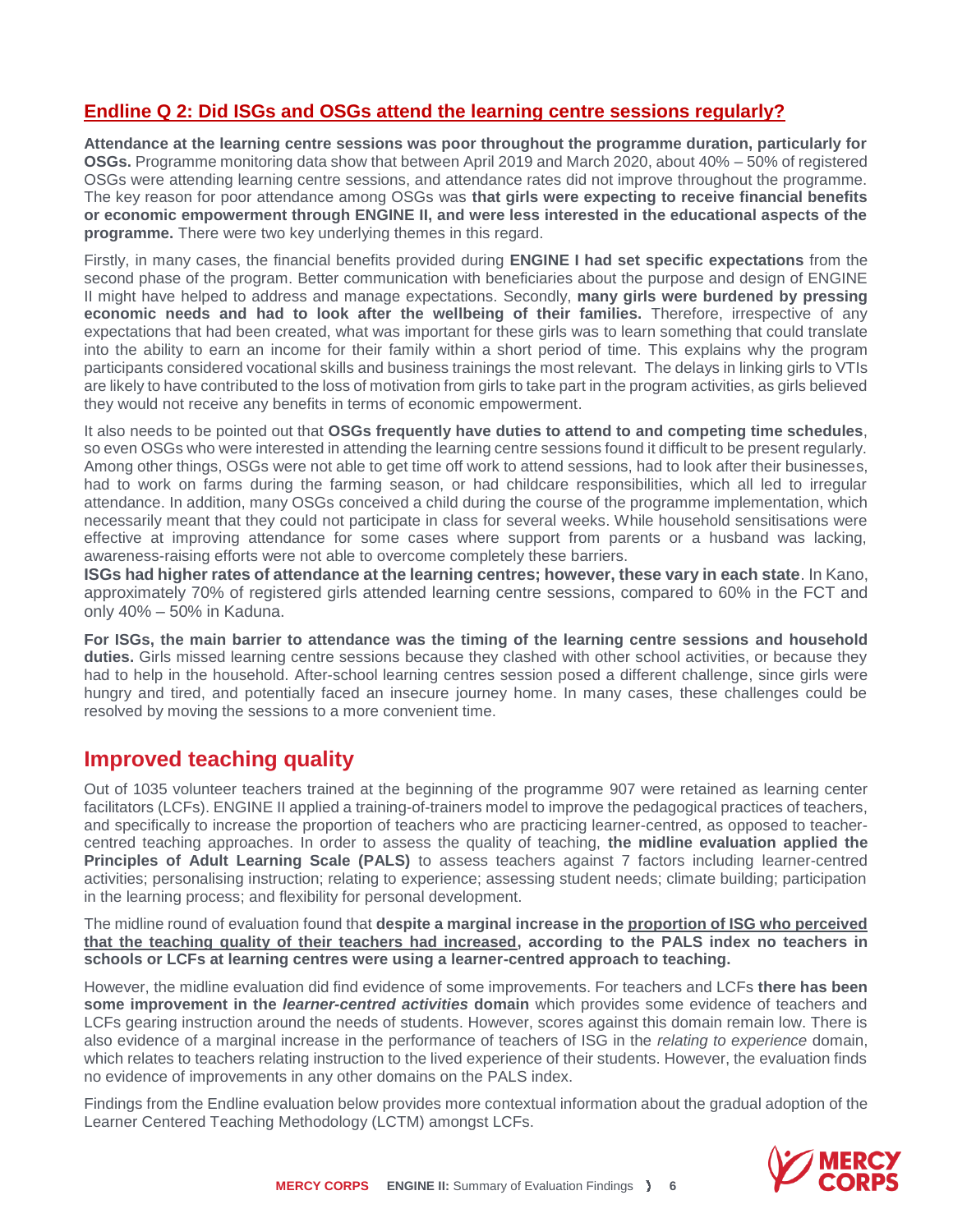#### **Endline Q 2: Did ISGs and OSGs attend the learning centre sessions regularly?**

**Attendance at the learning centre sessions was poor throughout the programme duration, particularly for OSGs.** Programme monitoring data show that between April 2019 and March 2020, about 40% – 50% of registered OSGs were attending learning centre sessions, and attendance rates did not improve throughout the programme. The key reason for poor attendance among OSGs was **that girls were expecting to receive financial benefits or economic empowerment through ENGINE II, and were less interested in the educational aspects of the programme.** There were two key underlying themes in this regard.

Firstly, in many cases, the financial benefits provided during **ENGINE I had set specific expectations** from the second phase of the program. Better communication with beneficiaries about the purpose and design of ENGINE II might have helped to address and manage expectations. Secondly, **many girls were burdened by pressing economic needs and had to look after the wellbeing of their families.** Therefore, irrespective of any expectations that had been created, what was important for these girls was to learn something that could translate into the ability to earn an income for their family within a short period of time. This explains why the program participants considered vocational skills and business trainings the most relevant. The delays in linking girls to VTIs are likely to have contributed to the loss of motivation from girls to take part in the program activities, as girls believed they would not receive any benefits in terms of economic empowerment.

It also needs to be pointed out that **OSGs frequently have duties to attend to and competing time schedules**, so even OSGs who were interested in attending the learning centre sessions found it difficult to be present regularly. Among other things, OSGs were not able to get time off work to attend sessions, had to look after their businesses, had to work on farms during the farming season, or had childcare responsibilities, which all led to irregular attendance. In addition, many OSGs conceived a child during the course of the programme implementation, which necessarily meant that they could not participate in class for several weeks. While household sensitisations were effective at improving attendance for some cases where support from parents or a husband was lacking, awareness-raising efforts were not able to overcome completely these barriers.

**ISGs had higher rates of attendance at the learning centres; however, these vary in each state**. In Kano, approximately 70% of registered girls attended learning centre sessions, compared to 60% in the FCT and only 40% – 50% in Kaduna.

**For ISGs, the main barrier to attendance was the timing of the learning centre sessions and household duties.** Girls missed learning centre sessions because they clashed with other school activities, or because they had to help in the household. After-school learning centres session posed a different challenge, since girls were hungry and tired, and potentially faced an insecure journey home. In many cases, these challenges could be resolved by moving the sessions to a more convenient time.

#### **Improved teaching quality**

Out of 1035 volunteer teachers trained at the beginning of the programme 907 were retained as learning center facilitators (LCFs). ENGINE II applied a training-of-trainers model to improve the pedagogical practices of teachers, and specifically to increase the proportion of teachers who are practicing learner-centred, as opposed to teachercentred teaching approaches. In order to assess the quality of teaching, **the midline evaluation applied the Principles of Adult Learning Scale (PALS)** to assess teachers against 7 factors including learner-centred activities; personalising instruction; relating to experience; assessing student needs; climate building; participation in the learning process; and flexibility for personal development.

The midline round of evaluation found that **despite a marginal increase in the proportion of ISG who perceived that the teaching quality of their teachers had increased, according to the PALS index no teachers in schools or LCFs at learning centres were using a learner-centred approach to teaching.** 

However, the midline evaluation did find evidence of some improvements. For teachers and LCFs **there has been some improvement in the** *learner-centred activities* **domain** which provides some evidence of teachers and LCFs gearing instruction around the needs of students. However, scores against this domain remain low. There is also evidence of a marginal increase in the performance of teachers of ISG in the *relating to experience* domain, which relates to teachers relating instruction to the lived experience of their students. However, the evaluation finds no evidence of improvements in any other domains on the PALS index.

Findings from the Endline evaluation below provides more contextual information about the gradual adoption of the Learner Centered Teaching Methodology (LCTM) amongst LCFs.

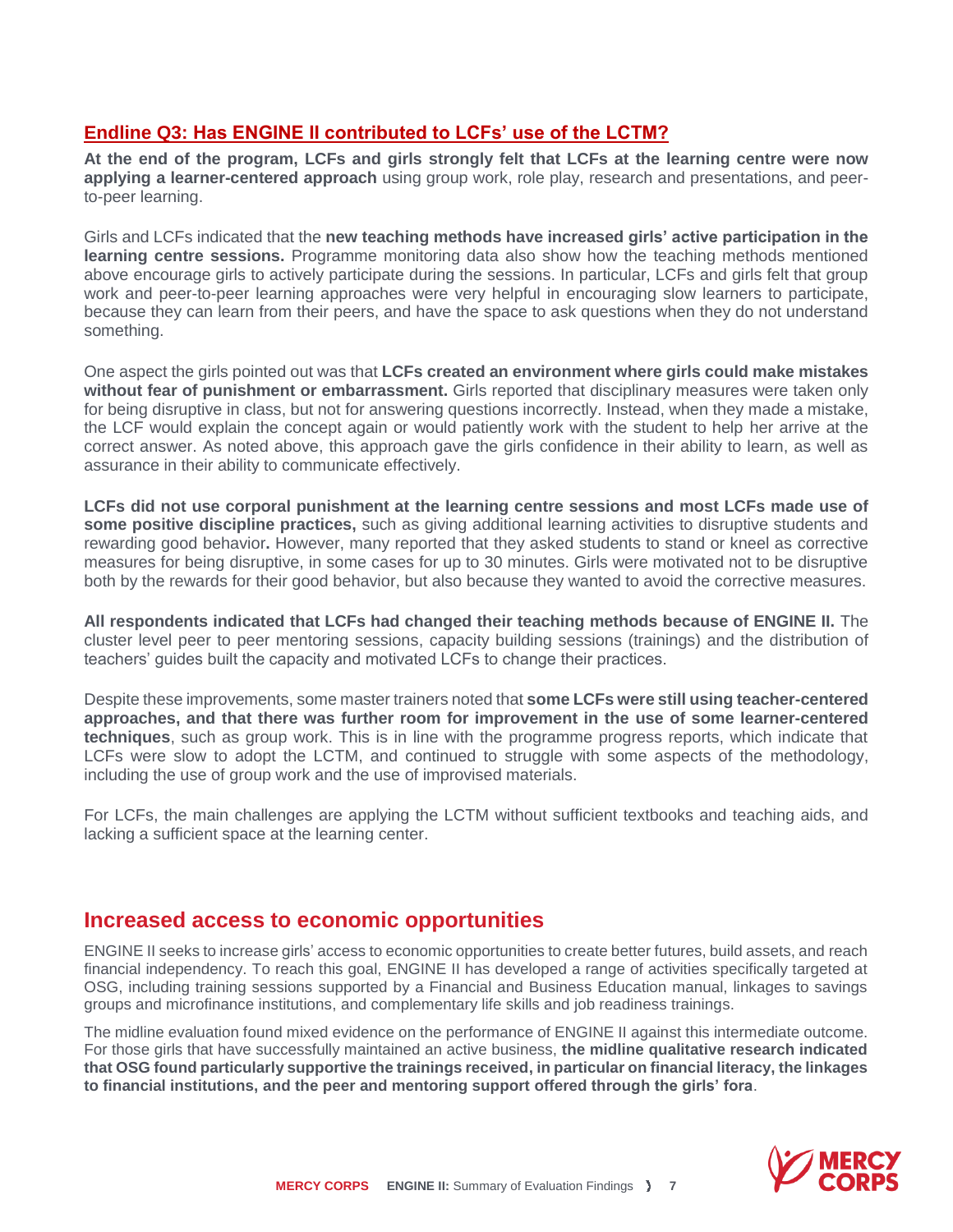#### **Endline Q3: Has ENGINE II contributed to LCFs' use of the LCTM?**

**At the end of the program, LCFs and girls strongly felt that LCFs at the learning centre were now applying a learner-centered approach** using group work, role play, research and presentations, and peerto-peer learning.

Girls and LCFs indicated that the **new teaching methods have increased girls' active participation in the learning centre sessions.** Programme monitoring data also show how the teaching methods mentioned above encourage girls to actively participate during the sessions. In particular, LCFs and girls felt that group work and peer-to-peer learning approaches were very helpful in encouraging slow learners to participate, because they can learn from their peers, and have the space to ask questions when they do not understand something.

One aspect the girls pointed out was that **LCFs created an environment where girls could make mistakes without fear of punishment or embarrassment.** Girls reported that disciplinary measures were taken only for being disruptive in class, but not for answering questions incorrectly. Instead, when they made a mistake, the LCF would explain the concept again or would patiently work with the student to help her arrive at the correct answer. As noted above, this approach gave the girls confidence in their ability to learn, as well as assurance in their ability to communicate effectively.

**LCFs did not use corporal punishment at the learning centre sessions and most LCFs made use of some positive discipline practices,** such as giving additional learning activities to disruptive students and rewarding good behavior**.** However, many reported that they asked students to stand or kneel as corrective measures for being disruptive, in some cases for up to 30 minutes. Girls were motivated not to be disruptive both by the rewards for their good behavior, but also because they wanted to avoid the corrective measures.

**All respondents indicated that LCFs had changed their teaching methods because of ENGINE II.** The cluster level peer to peer mentoring sessions, capacity building sessions (trainings) and the distribution of teachers' guides built the capacity and motivated LCFs to change their practices.

Despite these improvements, some master trainers noted that **some LCFs were still using teacher-centered approaches, and that there was further room for improvement in the use of some learner-centered techniques**, such as group work. This is in line with the programme progress reports, which indicate that LCFs were slow to adopt the LCTM, and continued to struggle with some aspects of the methodology, including the use of group work and the use of improvised materials.

For LCFs, the main challenges are applying the LCTM without sufficient textbooks and teaching aids, and lacking a sufficient space at the learning center.

#### **Increased access to economic opportunities**

ENGINE II seeks to increase girls' access to economic opportunities to create better futures, build assets, and reach financial independency. To reach this goal, ENGINE II has developed a range of activities specifically targeted at OSG, including training sessions supported by a Financial and Business Education manual, linkages to savings groups and microfinance institutions, and complementary life skills and job readiness trainings.

The midline evaluation found mixed evidence on the performance of ENGINE II against this intermediate outcome. For those girls that have successfully maintained an active business, **the midline qualitative research indicated that OSG found particularly supportive the trainings received, in particular on financial literacy, the linkages to financial institutions, and the peer and mentoring support offered through the girls' fora**.

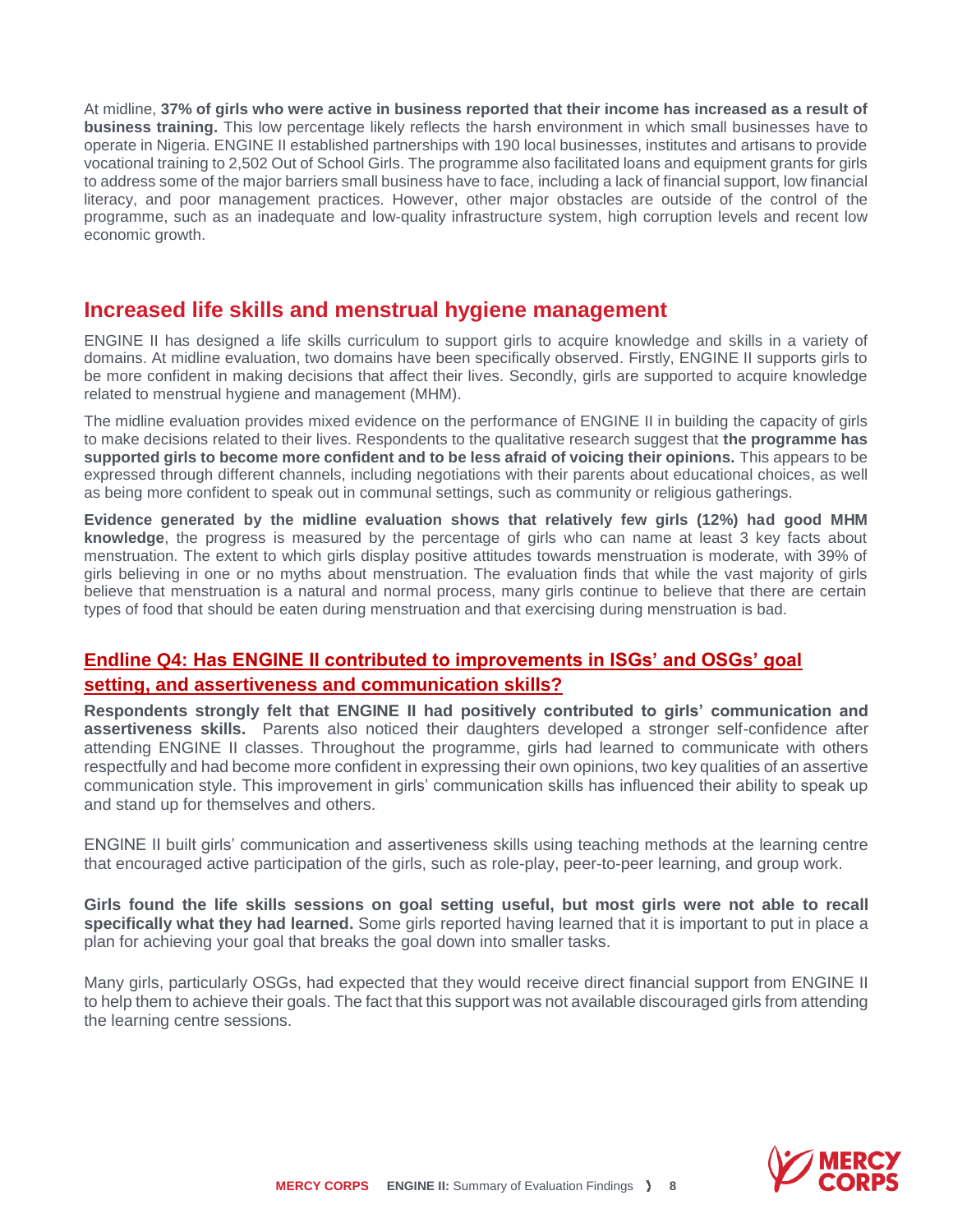At midline, **37% of girls who were active in business reported that their income has increased as a result of business training.** This low percentage likely reflects the harsh environment in which small businesses have to operate in Nigeria. ENGINE II established partnerships with 190 local businesses, institutes and artisans to provide vocational training to 2,502 Out of School Girls. The programme also facilitated loans and equipment grants for girls to address some of the major barriers small business have to face, including a lack of financial support, low financial literacy, and poor management practices. However, other major obstacles are outside of the control of the programme, such as an inadequate and low-quality infrastructure system, high corruption levels and recent low economic growth.

#### **Increased life skills and menstrual hygiene management**

ENGINE II has designed a life skills curriculum to support girls to acquire knowledge and skills in a variety of domains. At midline evaluation, two domains have been specifically observed. Firstly, ENGINE II supports girls to be more confident in making decisions that affect their lives. Secondly, girls are supported to acquire knowledge related to menstrual hygiene and management (MHM).

The midline evaluation provides mixed evidence on the performance of ENGINE II in building the capacity of girls to make decisions related to their lives. Respondents to the qualitative research suggest that **the programme has supported girls to become more confident and to be less afraid of voicing their opinions.** This appears to be expressed through different channels, including negotiations with their parents about educational choices, as well as being more confident to speak out in communal settings, such as community or religious gatherings.

**Evidence generated by the midline evaluation shows that relatively few girls (12%) had good MHM knowledge**, the progress is measured by the percentage of girls who can name at least 3 key facts about menstruation. The extent to which girls display positive attitudes towards menstruation is moderate, with 39% of girls believing in one or no myths about menstruation. The evaluation finds that while the vast majority of girls believe that menstruation is a natural and normal process, many girls continue to believe that there are certain types of food that should be eaten during menstruation and that exercising during menstruation is bad.

#### **Endline Q4: Has ENGINE II contributed to improvements in ISGs' and OSGs' goal setting, and assertiveness and communication skills?**

**Respondents strongly felt that ENGINE II had positively contributed to girls' communication and assertiveness skills.** Parents also noticed their daughters developed a stronger self-confidence after attending ENGINE II classes. Throughout the programme, girls had learned to communicate with others respectfully and had become more confident in expressing their own opinions, two key qualities of an assertive communication style. This improvement in girls' communication skills has influenced their ability to speak up and stand up for themselves and others.

ENGINE II built girls' communication and assertiveness skills using teaching methods at the learning centre that encouraged active participation of the girls, such as role-play, peer-to-peer learning, and group work.

**Girls found the life skills sessions on goal setting useful, but most girls were not able to recall specifically what they had learned.** Some girls reported having learned that it is important to put in place a plan for achieving your goal that breaks the goal down into smaller tasks.

Many girls, particularly OSGs, had expected that they would receive direct financial support from ENGINE II to help them to achieve their goals. The fact that this support was not available discouraged girls from attending the learning centre sessions.

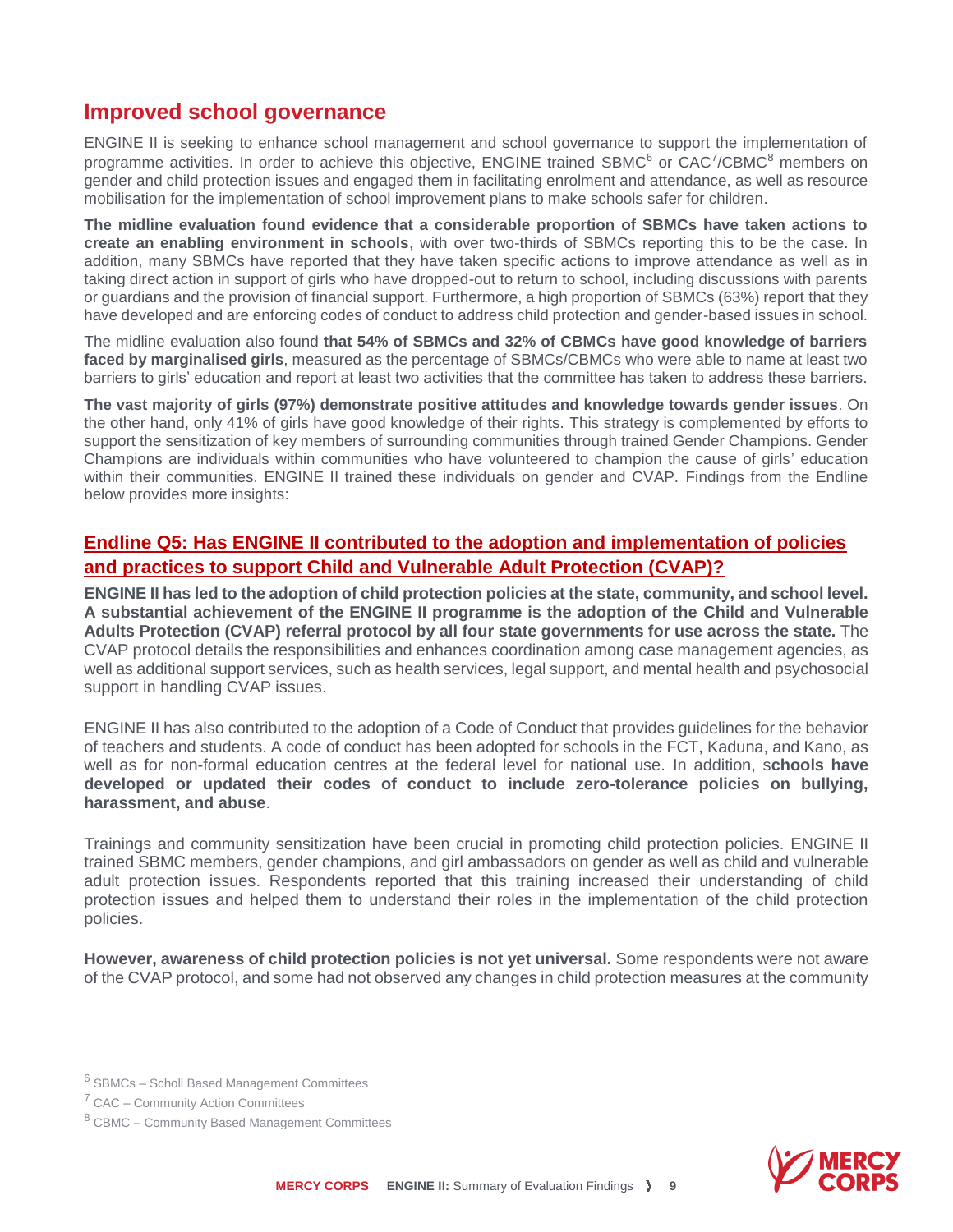#### **Improved school governance**

ENGINE II is seeking to enhance school management and school governance to support the implementation of programme activities. In order to achieve this objective, ENGINE trained SBMC<sup>6</sup> or CAC<sup>7</sup>/CBMC<sup>8</sup> members on gender and child protection issues and engaged them in facilitating enrolment and attendance, as well as resource mobilisation for the implementation of school improvement plans to make schools safer for children.

**The midline evaluation found evidence that a considerable proportion of SBMCs have taken actions to create an enabling environment in schools**, with over two-thirds of SBMCs reporting this to be the case. In addition, many SBMCs have reported that they have taken specific actions to improve attendance as well as in taking direct action in support of girls who have dropped-out to return to school, including discussions with parents or guardians and the provision of financial support. Furthermore, a high proportion of SBMCs (63%) report that they have developed and are enforcing codes of conduct to address child protection and gender-based issues in school.

The midline evaluation also found **that 54% of SBMCs and 32% of CBMCs have good knowledge of barriers faced by marginalised girls**, measured as the percentage of SBMCs/CBMCs who were able to name at least two barriers to girls' education and report at least two activities that the committee has taken to address these barriers.

**The vast majority of girls (97%) demonstrate positive attitudes and knowledge towards gender issues**. On the other hand, only 41% of girls have good knowledge of their rights. This strategy is complemented by efforts to support the sensitization of key members of surrounding communities through trained Gender Champions. Gender Champions are individuals within communities who have volunteered to champion the cause of girls' education within their communities. ENGINE II trained these individuals on gender and CVAP. Findings from the Endline below provides more insights:

#### **Endline Q5: Has ENGINE II contributed to the adoption and implementation of policies and practices to support Child and Vulnerable Adult Protection (CVAP)?**

**ENGINE II has led to the adoption of child protection policies at the state, community, and school level. A substantial achievement of the ENGINE II programme is the adoption of the Child and Vulnerable Adults Protection (CVAP) referral protocol by all four state governments for use across the state.** The CVAP protocol details the responsibilities and enhances coordination among case management agencies, as well as additional support services, such as health services, legal support, and mental health and psychosocial support in handling CVAP issues.

ENGINE II has also contributed to the adoption of a Code of Conduct that provides guidelines for the behavior of teachers and students. A code of conduct has been adopted for schools in the FCT, Kaduna, and Kano, as well as for non-formal education centres at the federal level for national use. In addition, s**chools have developed or updated their codes of conduct to include zero-tolerance policies on bullying, harassment, and abuse**.

Trainings and community sensitization have been crucial in promoting child protection policies. ENGINE II trained SBMC members, gender champions, and girl ambassadors on gender as well as child and vulnerable adult protection issues. Respondents reported that this training increased their understanding of child protection issues and helped them to understand their roles in the implementation of the child protection policies.

**However, awareness of child protection policies is not yet universal.** Some respondents were not aware of the CVAP protocol, and some had not observed any changes in child protection measures at the community

 $\overline{a}$ 



<sup>6</sup> SBMCs – Scholl Based Management Committees

<sup>&</sup>lt;sup>7</sup> CAC – Community Action Committees

<sup>8</sup> CBMC – Community Based Management Committees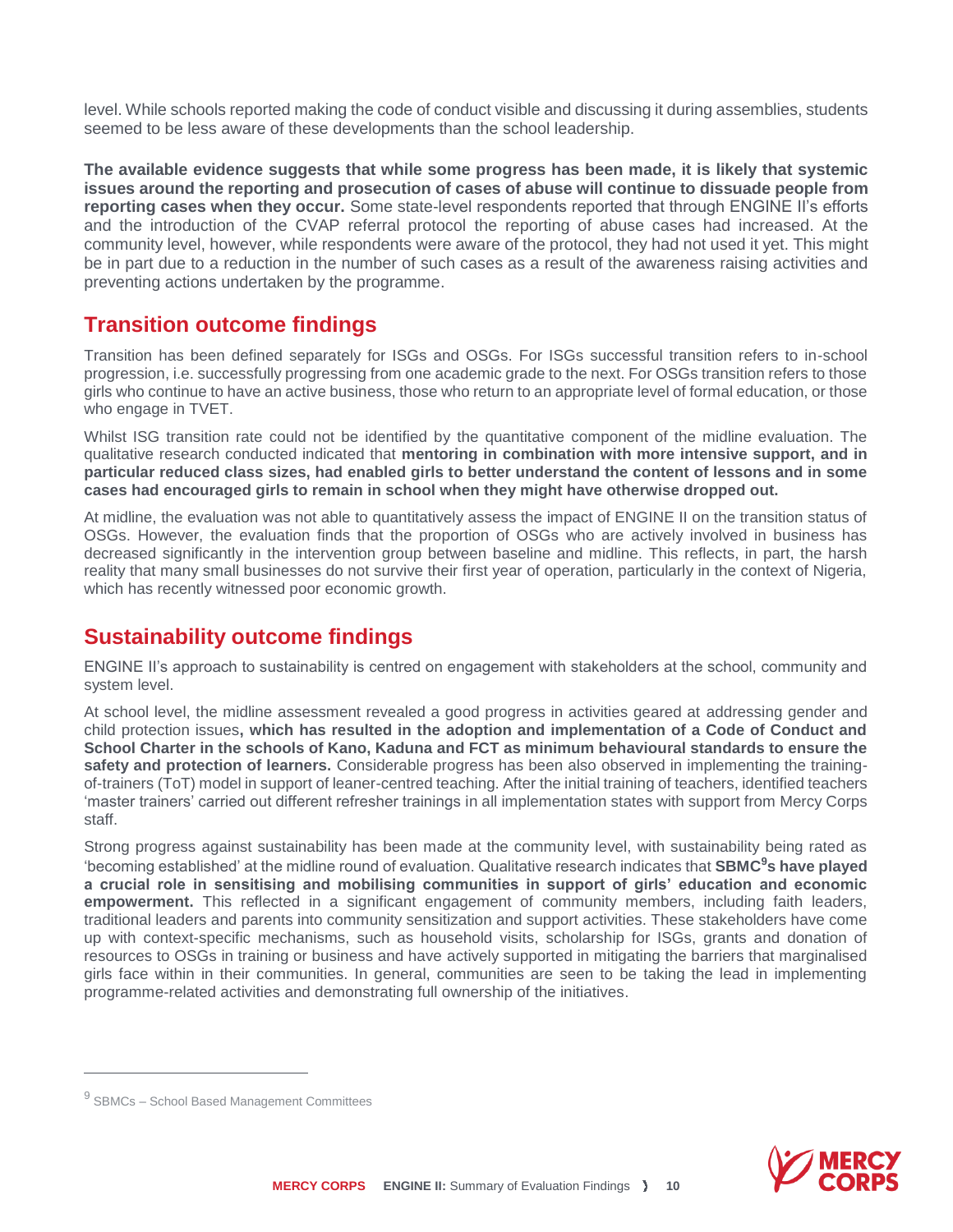level. While schools reported making the code of conduct visible and discussing it during assemblies, students seemed to be less aware of these developments than the school leadership.

**The available evidence suggests that while some progress has been made, it is likely that systemic issues around the reporting and prosecution of cases of abuse will continue to dissuade people from reporting cases when they occur.** Some state-level respondents reported that through ENGINE II's efforts and the introduction of the CVAP referral protocol the reporting of abuse cases had increased. At the community level, however, while respondents were aware of the protocol, they had not used it yet. This might be in part due to a reduction in the number of such cases as a result of the awareness raising activities and preventing actions undertaken by the programme.

#### **Transition outcome findings**

Transition has been defined separately for ISGs and OSGs. For ISGs successful transition refers to in-school progression, i.e. successfully progressing from one academic grade to the next. For OSGs transition refers to those girls who continue to have an active business, those who return to an appropriate level of formal education, or those who engage in TVET.

Whilst ISG transition rate could not be identified by the quantitative component of the midline evaluation. The qualitative research conducted indicated that **mentoring in combination with more intensive support, and in particular reduced class sizes, had enabled girls to better understand the content of lessons and in some cases had encouraged girls to remain in school when they might have otherwise dropped out.**

At midline, the evaluation was not able to quantitatively assess the impact of ENGINE II on the transition status of OSGs. However, the evaluation finds that the proportion of OSGs who are actively involved in business has decreased significantly in the intervention group between baseline and midline. This reflects, in part, the harsh reality that many small businesses do not survive their first year of operation, particularly in the context of Nigeria, which has recently witnessed poor economic growth.

#### **Sustainability outcome findings**

ENGINE II's approach to sustainability is centred on engagement with stakeholders at the school, community and system level.

At school level, the midline assessment revealed a good progress in activities geared at addressing gender and child protection issues**, which has resulted in the adoption and implementation of a Code of Conduct and School Charter in the schools of Kano, Kaduna and FCT as minimum behavioural standards to ensure the safety and protection of learners.** Considerable progress has been also observed in implementing the trainingof-trainers (ToT) model in support of leaner-centred teaching. After the initial training of teachers, identified teachers 'master trainers' carried out different refresher trainings in all implementation states with support from Mercy Corps staff.

Strong progress against sustainability has been made at the community level, with sustainability being rated as 'becoming established' at the midline round of evaluation. Qualitative research indicates that **SBMC<sup>9</sup>s have played a crucial role in sensitising and mobilising communities in support of girls' education and economic empowerment.** This reflected in a significant engagement of community members, including faith leaders, traditional leaders and parents into community sensitization and support activities. These stakeholders have come up with context-specific mechanisms, such as household visits, scholarship for ISGs, grants and donation of resources to OSGs in training or business and have actively supported in mitigating the barriers that marginalised girls face within in their communities. In general, communities are seen to be taking the lead in implementing programme-related activities and demonstrating full ownership of the initiatives.

 $\overline{a}$ 



<sup>&</sup>lt;sup>9</sup> SBMCs – School Based Management Committees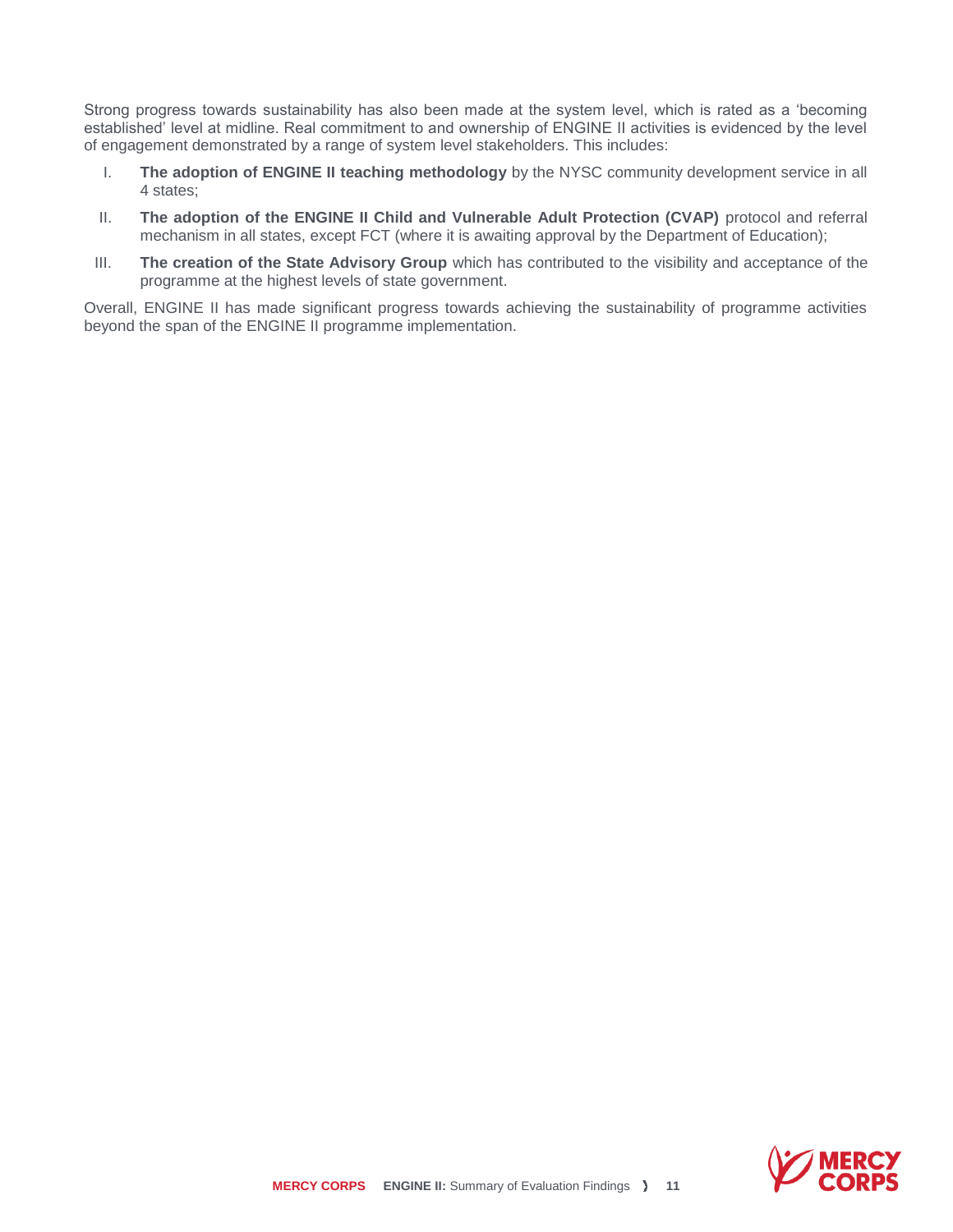Strong progress towards sustainability has also been made at the system level, which is rated as a 'becoming established' level at midline. Real commitment to and ownership of ENGINE II activities is evidenced by the level of engagement demonstrated by a range of system level stakeholders. This includes:

- I. **The adoption of ENGINE II teaching methodology** by the NYSC community development service in all 4 states;
- II. **The adoption of the ENGINE II Child and Vulnerable Adult Protection (CVAP)** protocol and referral mechanism in all states, except FCT (where it is awaiting approval by the Department of Education);
- III. **The creation of the State Advisory Group** which has contributed to the visibility and acceptance of the programme at the highest levels of state government.

Overall, ENGINE II has made significant progress towards achieving the sustainability of programme activities beyond the span of the ENGINE II programme implementation.

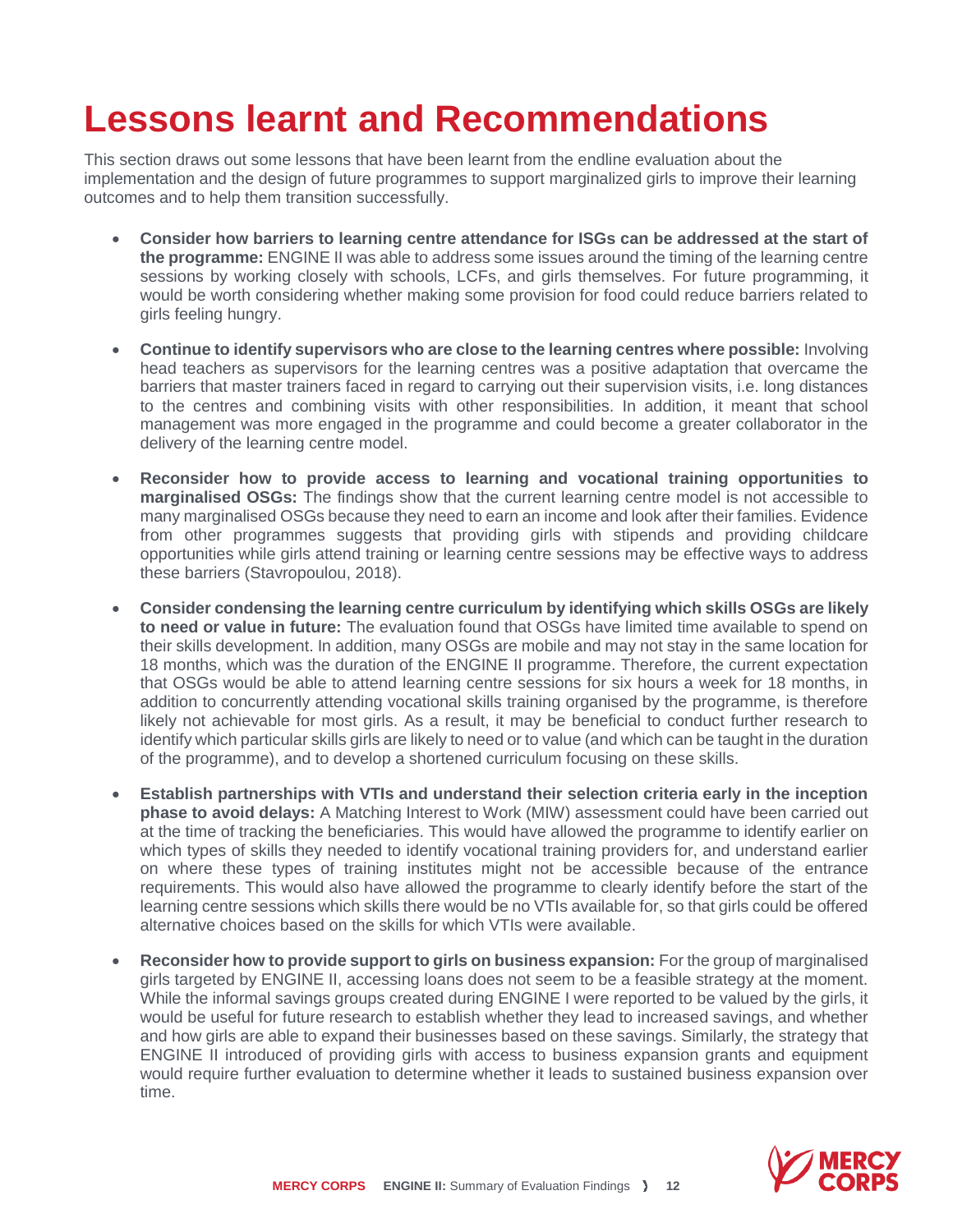### **Lessons learnt and Recommendations**

This section draws out some lessons that have been learnt from the endline evaluation about the implementation and the design of future programmes to support marginalized girls to improve their learning outcomes and to help them transition successfully.

- **Consider how barriers to learning centre attendance for ISGs can be addressed at the start of the programme:** ENGINE II was able to address some issues around the timing of the learning centre sessions by working closely with schools, LCFs, and girls themselves. For future programming, it would be worth considering whether making some provision for food could reduce barriers related to girls feeling hungry.
- **Continue to identify supervisors who are close to the learning centres where possible:** Involving head teachers as supervisors for the learning centres was a positive adaptation that overcame the barriers that master trainers faced in regard to carrying out their supervision visits, i.e. long distances to the centres and combining visits with other responsibilities. In addition, it meant that school management was more engaged in the programme and could become a greater collaborator in the delivery of the learning centre model.
- **Reconsider how to provide access to learning and vocational training opportunities to marginalised OSGs:** The findings show that the current learning centre model is not accessible to many marginalised OSGs because they need to earn an income and look after their families. Evidence from other programmes suggests that providing girls with stipends and providing childcare opportunities while girls attend training or learning centre sessions may be effective ways to address these barriers (Stavropoulou, 2018).
- **Consider condensing the learning centre curriculum by identifying which skills OSGs are likely to need or value in future:** The evaluation found that OSGs have limited time available to spend on their skills development. In addition, many OSGs are mobile and may not stay in the same location for 18 months, which was the duration of the ENGINE II programme. Therefore, the current expectation that OSGs would be able to attend learning centre sessions for six hours a week for 18 months, in addition to concurrently attending vocational skills training organised by the programme, is therefore likely not achievable for most girls. As a result, it may be beneficial to conduct further research to identify which particular skills girls are likely to need or to value (and which can be taught in the duration of the programme), and to develop a shortened curriculum focusing on these skills.
- **Establish partnerships with VTIs and understand their selection criteria early in the inception phase to avoid delays:** A Matching Interest to Work (MIW) assessment could have been carried out at the time of tracking the beneficiaries. This would have allowed the programme to identify earlier on which types of skills they needed to identify vocational training providers for, and understand earlier on where these types of training institutes might not be accessible because of the entrance requirements. This would also have allowed the programme to clearly identify before the start of the learning centre sessions which skills there would be no VTIs available for, so that girls could be offered alternative choices based on the skills for which VTIs were available.
- **Reconsider how to provide support to girls on business expansion:** For the group of marginalised girls targeted by ENGINE II, accessing loans does not seem to be a feasible strategy at the moment. While the informal savings groups created during ENGINE I were reported to be valued by the girls, it would be useful for future research to establish whether they lead to increased savings, and whether and how girls are able to expand their businesses based on these savings. Similarly, the strategy that ENGINE II introduced of providing girls with access to business expansion grants and equipment would require further evaluation to determine whether it leads to sustained business expansion over time.

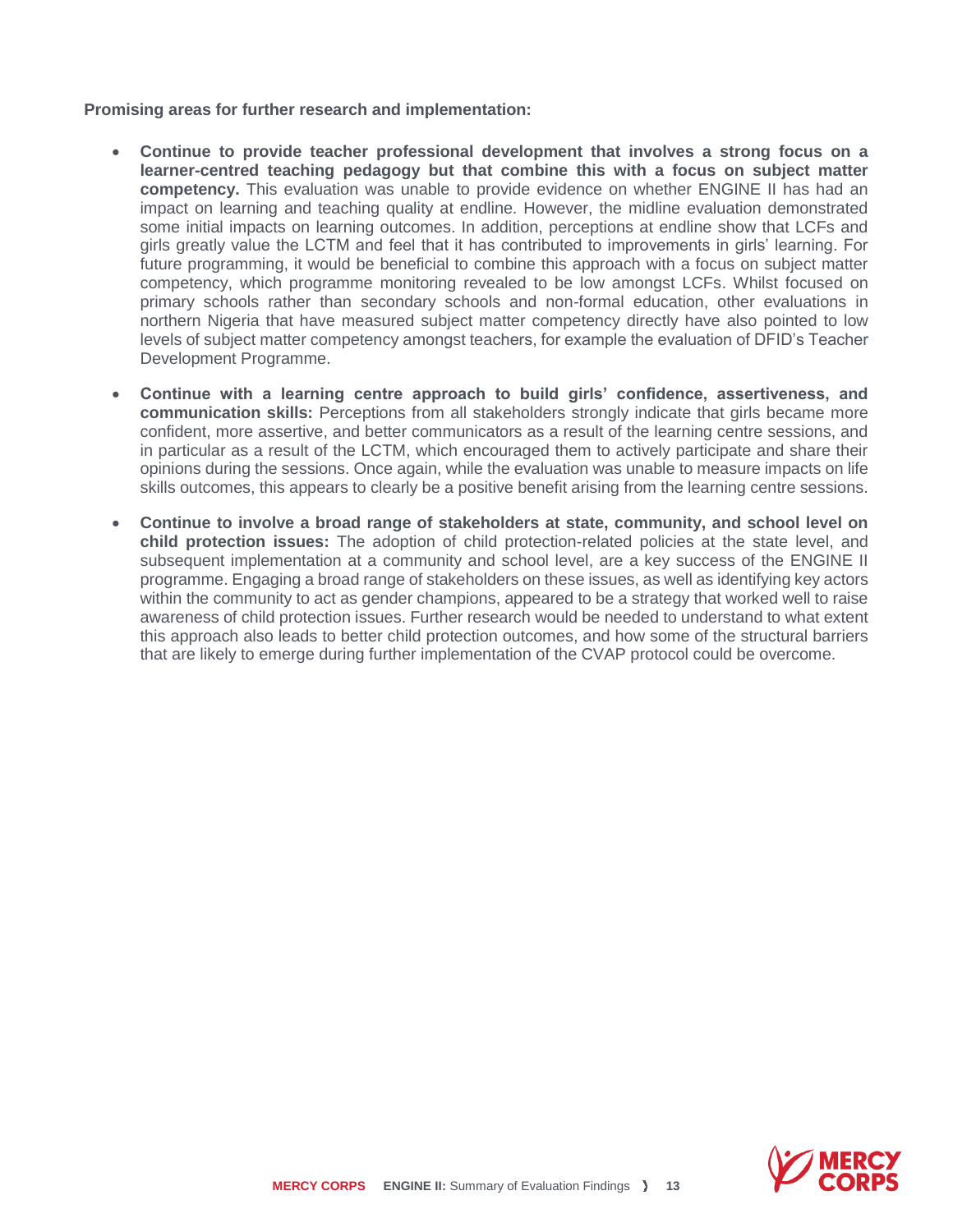**Promising areas for further research and implementation:**

- **Continue to provide teacher professional development that involves a strong focus on a learner-centred teaching pedagogy but that combine this with a focus on subject matter competency.** This evaluation was unable to provide evidence on whether ENGINE II has had an impact on learning and teaching quality at endline. However, the midline evaluation demonstrated some initial impacts on learning outcomes. In addition, perceptions at endline show that LCFs and girls greatly value the LCTM and feel that it has contributed to improvements in girls' learning. For future programming, it would be beneficial to combine this approach with a focus on subject matter competency, which programme monitoring revealed to be low amongst LCFs. Whilst focused on primary schools rather than secondary schools and non-formal education, other evaluations in northern Nigeria that have measured subject matter competency directly have also pointed to low levels of subject matter competency amongst teachers, for example the evaluation of DFID's Teacher Development Programme.
- **Continue with a learning centre approach to build girls' confidence, assertiveness, and communication skills:** Perceptions from all stakeholders strongly indicate that girls became more confident, more assertive, and better communicators as a result of the learning centre sessions, and in particular as a result of the LCTM, which encouraged them to actively participate and share their opinions during the sessions. Once again, while the evaluation was unable to measure impacts on life skills outcomes, this appears to clearly be a positive benefit arising from the learning centre sessions.
- **Continue to involve a broad range of stakeholders at state, community, and school level on child protection issues:** The adoption of child protection-related policies at the state level, and subsequent implementation at a community and school level, are a key success of the ENGINE II programme. Engaging a broad range of stakeholders on these issues, as well as identifying key actors within the community to act as gender champions, appeared to be a strategy that worked well to raise awareness of child protection issues. Further research would be needed to understand to what extent this approach also leads to better child protection outcomes, and how some of the structural barriers that are likely to emerge during further implementation of the CVAP protocol could be overcome.